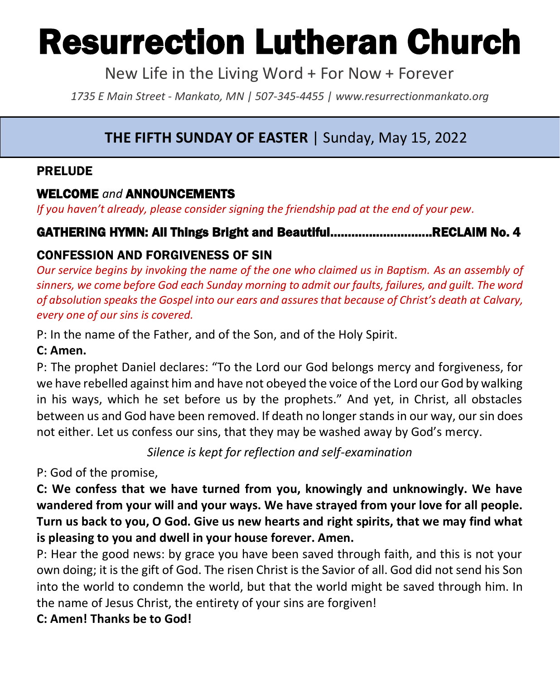# Resurrection Lutheran Church

New Life in the Living Word + For Now + Forever

*1735 E Main Street - Mankato, MN | 507-345-4455 | [www.resurrectionmankato.org](http://www.resurrectionmankato.org/)*

#### *\_\_\_\_\_\_\_\_\_\_\_\_\_\_\_\_\_\_\_\_\_\_\_\_\_\_\_\_\_\_\_\_\_\_\_\_\_\_\_\_\_\_\_\_\_\_\_\_\_\_\_\_\_\_\_\_\_\_\_\_\_\_\_\_\_\_\_\_\_\_\_\_\_\_\_\_\_\_\_ \_\_\_\_\_\_\_\_\_\_\_\_\_\_\_\_\_\_\_\_\_\_\_\_\_\_\_\_\_\_\_\_\_\_\_\_\_\_\_\_\_\_\_\_\_\_\_\_\_\_\_\_\_\_\_\_\_\_\_\_\_\_\_\_\_\_\_\_\_\_\_\_\_\_\_\_\_\_\_* **THE FIFTH SUNDAY OF EASTER** | Sunday, May 15, 2022

#### PRELUDE

#### WELCOME *and* ANNOUNCEMENTS

*If you haven't already, please consider signing the friendship pad at the end of your pew.* 

# GATHERING HYMN: All Things Bright and Beautiful………………………..RECLAIM No. 4

# CONFESSION AND FORGIVENESS OF SIN

*Our service begins by invoking the name of the one who claimed us in Baptism. As an assembly of sinners, we come before God each Sunday morning to admit our faults, failures, and guilt. The word of absolution speaks the Gospel into our ears and assures that because of Christ's death at Calvary, every one of our sins is covered.* 

P: In the name of the Father, and of the Son, and of the Holy Spirit.

### **C: Amen.**

P: The prophet Daniel declares: "To the Lord our God belongs mercy and forgiveness, for we have rebelled against him and have not obeyed the voice of the Lord our God by walking in his ways, which he set before us by the prophets." And yet, in Christ, all obstacles between us and God have been removed. If death no longer stands in our way, our sin does not either. Let us confess our sins, that they may be washed away by God's mercy.

*Silence is kept for reflection and self-examination*

P: God of the promise,

**C: We confess that we have turned from you, knowingly and unknowingly. We have wandered from your will and your ways. We have strayed from your love for all people. Turn us back to you, O God. Give us new hearts and right spirits, that we may find what is pleasing to you and dwell in your house forever. Amen.**

P: Hear the good news: by grace you have been saved through faith, and this is not your own doing; it is the gift of God. The risen Christ is the Savior of all. God did not send his Son into the world to condemn the world, but that the world might be saved through him. In the name of Jesus Christ, the entirety of your sins are forgiven!

### **C: Amen! Thanks be to God!**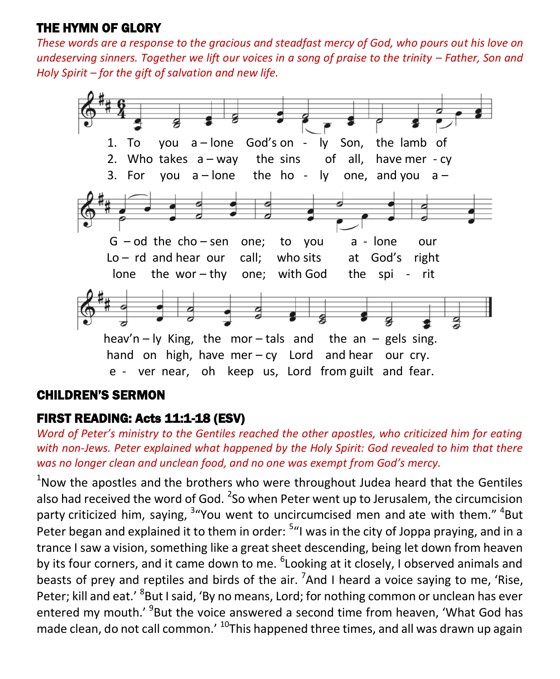## THE HYMN OF GLORY

*These words are a response to the gracious and steadfast mercy of God, who pours out his love on undeserving sinners. Together we lift our voices in a song of praise to the trinity – Father, Son and Holy Spirit – for the gift of salvation and new life.* 



#### CHILDREN'S SERMON

### FIRST READING: Acts 11:1-18 (ESV)

*Word of Peter's ministry to the Gentiles reached the other apostles, who criticized him for eating with non-Jews. Peter explained what happened by the Holy Spirit: God revealed to him that there was no longer clean and unclean food, and no one was exempt from God's mercy.* 

 $1$ Now the apostles and the brothers who were throughout Judea heard that the Gentiles also had received the word of God.  $^2$ So when Peter went up to Jerusalem, the circumcision party criticized him, saying, <sup>3</sup> "You went to uncircumcised men and ate with them." <sup>4</sup>But Peter began and explained it to them in order: <sup>5</sup>"I was in the city of Joppa praying, and in a trance I saw a vision, something like a great sheet descending, being let down from heaven by its four corners, and it came down to me. <sup>6</sup>Looking at it closely, I observed animals and beasts of prey and reptiles and birds of the air.  $\mathrm{7}$ And I heard a voice saying to me, 'Rise, Peter; kill and eat.' <sup>8</sup>But I said, 'By no means, Lord; for nothing common or unclean has ever entered my mouth.' <sup>9</sup>But the voice answered a second time from heaven, 'What God has made clean, do not call common.<sup>' 10</sup>This happened three times, and all was drawn up again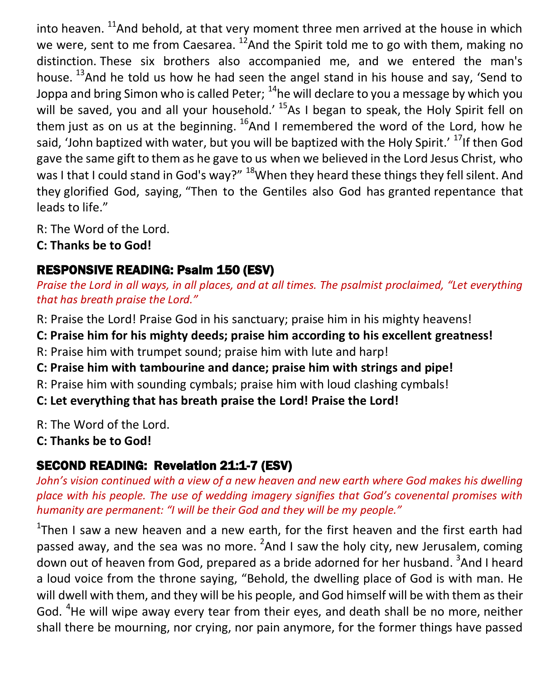into heaven. <sup>11</sup>And behold, at that very moment three men arrived at the house in which we were, sent to me from Caesarea.  $^{12}$ And the Spirit told me to go with them, making no distinction. These six brothers also accompanied me, and we entered the man's house. <sup>13</sup>And he told us how he had seen the angel stand in his house and say, 'Send to Joppa and bring Simon who is called Peter;  $^{14}$ he will declare to you a message by which you will be saved, you and all your household.<sup>' 15</sup>As I began to speak, the Holy Spirit fell on them just as on us at the beginning.  $^{16}$ And I remembered the word of the Lord, how he said, 'John baptized with water, but you will be baptized with the Holy Spirit.' <sup>17</sup>If then God gave the same gift to them as he gave to us when we believed in the Lord Jesus Christ, who was I that I could stand in God's way?" <sup>18</sup>When they heard these things they fell silent. And they glorified God, saying, "Then to the Gentiles also God has granted repentance that leads to life."

R: The Word of the Lord.

**C: Thanks be to God!** 

# RESPONSIVE READING: Psalm 150 (ESV)

*Praise the Lord in all ways, in all places, and at all times. The psalmist proclaimed, "Let everything that has breath praise the Lord."* 

R: Praise the Lord! Praise God in his sanctuary; praise him in his mighty heavens!

**C: Praise him for his mighty deeds; praise him according to his excellent greatness!**

R: Praise him with trumpet sound; praise him with lute and harp!

**C: Praise him with tambourine and dance; praise him with strings and pipe!**

R: Praise him with sounding cymbals; praise him with loud clashing cymbals!

**C: Let everything that has breath praise the Lord! Praise the Lord!**

R: The Word of the Lord.

**C: Thanks be to God!** 

# SECOND READING: Revelation 21:1-7 (ESV)

*John's vision continued with a view of a new heaven and new earth where God makes his dwelling place with his people. The use of wedding imagery signifies that God's covenental promises with humanity are permanent: "I will be their God and they will be my people."* 

 $1$ Then I saw a new heaven and a new earth, for the first heaven and the first earth had passed away, and the sea was no more.  $^2$ And I saw the holy city, new Jerusalem, coming down out of heaven from God, prepared as a bride adorned for her husband. <sup>3</sup>And I heard a loud voice from the throne saying, "Behold, the dwelling place of God is with man. He will dwell with them, and they will be his people, and God himself will be with them as their God. <sup>4</sup>He will wipe away every tear from their eyes, and death shall be no more, neither shall there be mourning, nor crying, nor pain anymore, for the former things have passed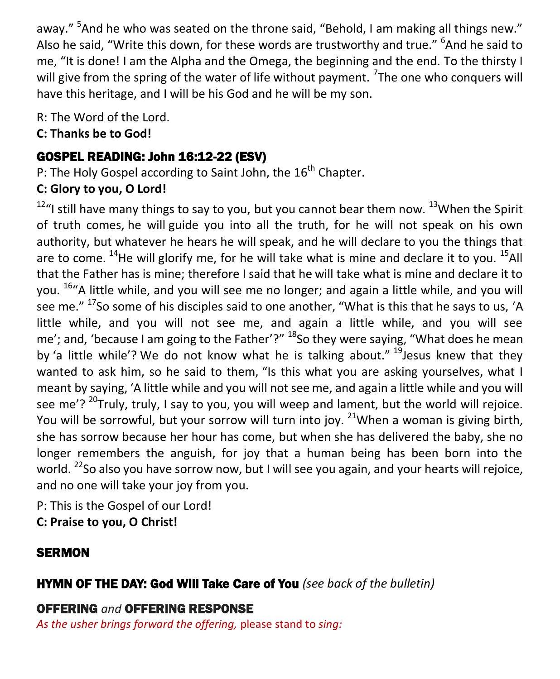away." <sup>5</sup>And he who was seated on the throne said, "Behold, I am making all things new." Also he said, "Write this down, for these words are trustworthy and true." <sup>6</sup>And he said to me, "It is done! I am the Alpha and the Omega, the beginning and the end. To the thirsty I will give from the spring of the water of life without payment. <sup>7</sup>The one who conquers will have this heritage, and I will be his God and he will be my son.

R: The Word of the Lord.

#### **C: Thanks be to God!**

# GOSPEL READING: John 16:12-22 (ESV)

P: The Holy Gospel according to Saint John, the  $16<sup>th</sup>$  Chapter.

# **C: Glory to you, O Lord!**

 $12<sup>12</sup>$ "I still have many things to say to you, but you cannot bear them now.  $13$ When the Spirit of truth comes, he will guide you into all the truth, for he will not speak on his own authority, but whatever he hears he will speak, and he will declare to you the things that are to come.  $^{14}$ He will glorify me, for he will take what is mine and declare it to you.  $^{15}$ All that the Father has is mine; therefore I said that he will take what is mine and declare it to you. <sup>16</sup>"A little while, and you will see me no longer; and again a little while, and you will see me."  $17$ So some of his disciples said to one another, "What is this that he says to us, 'A little while, and you will not see me, and again a little while, and you will see me': and. 'because I am going to the Father'?" <sup>18</sup>So they were saying, "What does he mean by 'a little while'? We do not know what he is talking about."  $19$  lesus knew that they wanted to ask him, so he said to them, "Is this what you are asking yourselves, what I meant by saying, 'A little while and you will not see me, and again a little while and you will see me'?  $^{20}$ Truly, truly, I say to you, you will weep and lament, but the world will rejoice. You will be sorrowful, but your sorrow will turn into joy. <sup>21</sup>When a woman is giving birth, she has sorrow because her hour has come, but when she has delivered the baby, she no longer remembers the anguish, for joy that a human being has been born into the world. <sup>22</sup>So also you have sorrow now, but I will see you again, and your hearts will rejoice, and no one will take your joy from you.

P: This is the Gospel of our Lord!

**C: Praise to you, O Christ!** 

# **SERMON**

# HYMN OF THE DAY: God Will Take Care of You *(see back of the bulletin)*

# OFFERING *and* OFFERING RESPONSE

*As the usher brings forward the offering,* please stand to *sing:*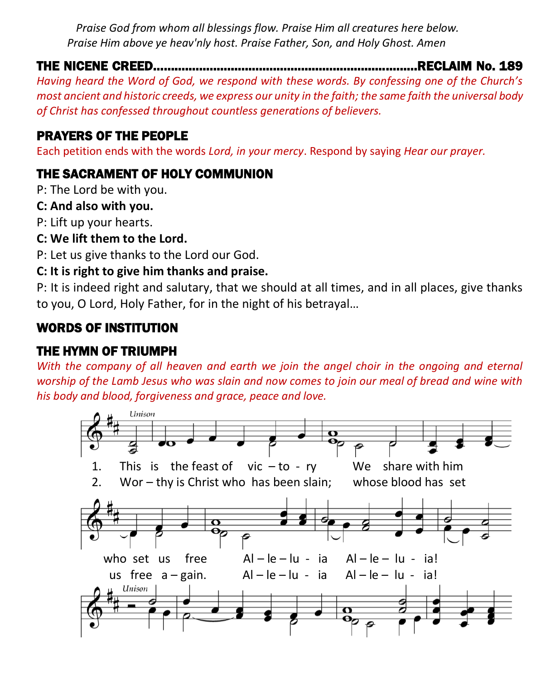*Praise God from whom all blessings flow. Praise Him all creatures here below. Praise Him above ye heav'nly host. Praise Father, Son, and Holy Ghost. Amen*

# THE NICENE CREED…………………………………………………………………RECLAIM No. 189

*Having heard the Word of God, we respond with these words. By confessing one of the Church's most ancient and historic creeds, we express our unity in the faith; the same faith the universal body of Christ has confessed throughout countless generations of believers.* 

## PRAYERS OF THE PEOPLE

Each petition ends with the words *Lord, in your mercy*. Respond by saying *Hear our prayer.*

## THE SACRAMENT OF HOLY COMMUNION

P: The Lord be with you.

#### **C: And also with you.**

P: Lift up your hearts.

#### **C: We lift them to the Lord.**

P: Let us give thanks to the Lord our God.

#### **C: It is right to give him thanks and praise.**

P: It is indeed right and salutary, that we should at all times, and in all places, give thanks to you, O Lord, Holy Father, for in the night of his betrayal…

# WORDS OF INSTITUTION

# THE HYMN OF TRIUMPH

*With the company of all heaven and earth we join the angel choir in the ongoing and eternal worship of the Lamb Jesus who was slain and now comes to join our meal of bread and wine with his body and blood, forgiveness and grace, peace and love.* 

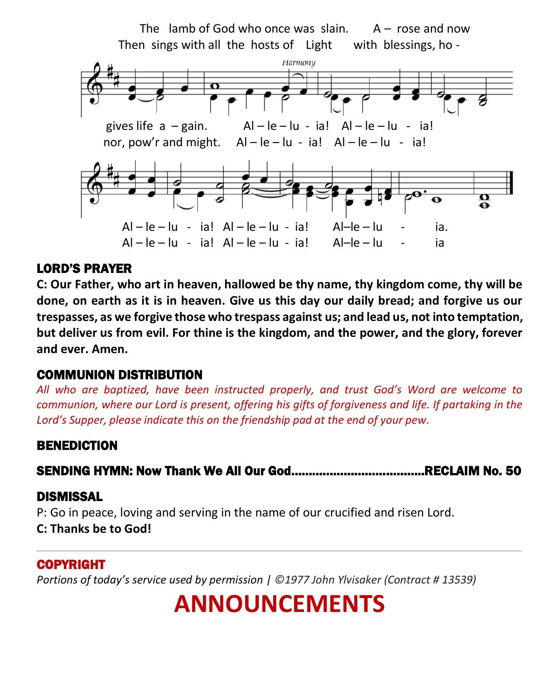

#### LORD'S PRAYER

**C: Our Father, who art in heaven, hallowed be thy name, thy kingdom come, thy will be done, on earth as it is in heaven. Give us this day our daily bread; and forgive us our trespasses, as we forgive those who trespass against us; and lead us, not into temptation, but deliver us from evil. For thine is the kingdom, and the power, and the glory, forever and ever. Amen.**

### COMMUNION DISTRIBUTION

*All who are baptized, have been instructed properly, and trust God's Word are welcome to communion, where our Lord is present, offering his gifts of forgiveness and life. If partaking in the Lord's Supper, please indicate this on the friendship pad at the end of your pew.*

#### BENEDICTION

SENDING HYMN: Now Thank We All Our God………………………………..RECLAIM No. 50

#### DISMISSAL

P: Go in peace, loving and serving in the name of our crucified and risen Lord. **C: Thanks be to God!**

#### COPYRIGHT

*Portions of today's service used by permission | ©1977 John Ylvisaker (Contract # 13539)*

# **ANNOUNCEMENTS**

\_\_\_\_\_\_\_\_\_\_\_\_\_\_\_\_\_\_\_\_\_\_\_\_\_\_\_\_\_\_\_\_\_\_\_\_\_\_\_\_\_\_\_\_\_\_\_\_\_\_\_\_\_\_\_\_\_\_\_\_\_\_\_\_\_\_\_\_\_\_\_\_\_\_\_\_\_\_\_\_\_\_\_\_\_\_\_\_\_\_\_\_\_\_\_\_\_\_\_\_\_\_\_\_\_\_\_\_\_\_\_\_\_\_\_\_\_\_\_\_\_\_\_\_\_\_\_\_\_\_\_\_\_\_\_\_\_\_\_\_\_\_\_\_\_\_\_\_\_\_\_\_\_\_\_\_\_\_\_\_\_\_\_\_\_\_\_\_\_\_\_\_\_\_\_\_\_\_\_\_\_\_\_\_\_\_\_\_\_\_\_\_\_\_\_\_\_\_\_\_\_\_\_\_\_\_\_\_\_\_\_\_\_\_\_\_\_\_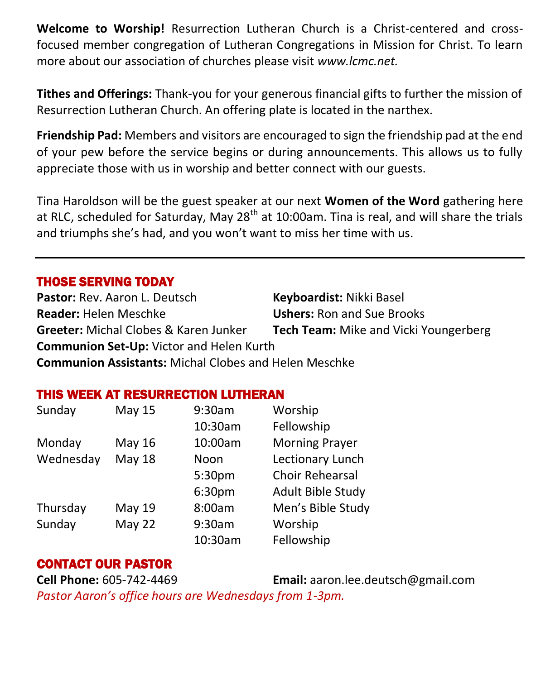**Welcome to Worship!** Resurrection Lutheran Church is a Christ-centered and crossfocused member congregation of Lutheran Congregations in Mission for Christ. To learn more about our association of churches please visit *[www.lcmc.net.](http://www.lcmc.net/)* 

**Tithes and Offerings:** Thank-you for your generous financial gifts to further the mission of Resurrection Lutheran Church. An offering plate is located in the narthex.

**Friendship Pad:** Members and visitors are encouraged to sign the friendship pad at the end of your pew before the service begins or during announcements. This allows us to fully appreciate those with us in worship and better connect with our guests.

Tina Haroldson will be the guest speaker at our next **Women of the Word** gathering here at RLC, scheduled for Saturday, May 28<sup>th</sup> at 10:00am. Tina is real, and will share the trials and triumphs she's had, and you won't want to miss her time with us.

#### THOSE SERVING TODAY

**Pastor:** Rev. Aaron L. Deutsch **Keyboardist:** Nikki Basel **Reader:** Helen Meschke **Ushers:** Ron and Sue Brooks **Greeter:** Michal Clobes & Karen Junker **Tech Team:** Mike and Vicki Youngerberg **Communion Set-Up:** Victor and Helen Kurth

**Communion Assistants:** Michal Clobes and Helen Meschke

#### THIS WEEK AT RESURRECTION LUTHERAN

| Sunday    | <b>May 15</b> | 9:30am  | Worship                  |
|-----------|---------------|---------|--------------------------|
|           |               | 10:30am | Fellowship               |
| Monday    | May 16        | 10:00am | <b>Morning Prayer</b>    |
| Wednesday | <b>May 18</b> | Noon    | Lectionary Lunch         |
|           |               | 5:30pm  | <b>Choir Rehearsal</b>   |
|           |               | 6:30pm  | <b>Adult Bible Study</b> |
| Thursday  | May 19        | 8:00am  | Men's Bible Study        |
| Sunday    | May 22        | 9:30am  | Worship                  |
|           |               | 10:30am | Fellowship               |

#### CONTACT OUR PASTOR

**Cell Phone:** 605-742-4469 **Email:** [aaron.lee.deutsch@gmail.com](mailto:aaron.lee.deutsch@gmail.com) *Pastor Aaron's office hours are Wednesdays from 1-3pm.*